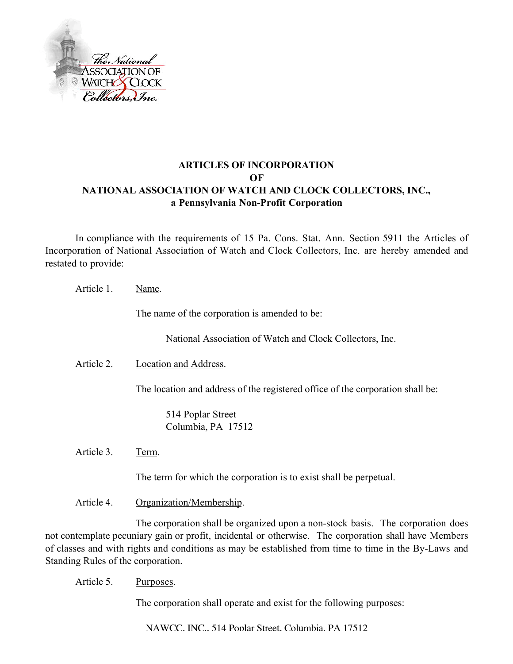

## **ARTICLES OF INCORPORATION OF NATIONAL ASSOCIATION OF WATCH AND CLOCK COLLECTORS, INC., a Pennsylvania Non-Profit Corporation**

In compliance with the requirements of 15 Pa. Cons. Stat. Ann. Section 5911 the Articles of Incorporation of National Association of Watch and Clock Collectors, Inc. are hereby amended and restated to provide:

| Article 1. | Name.                                                                          |
|------------|--------------------------------------------------------------------------------|
|            | The name of the corporation is amended to be:                                  |
|            | National Association of Watch and Clock Collectors, Inc.                       |
| Article 2. | Location and Address.                                                          |
|            | The location and address of the registered office of the corporation shall be: |
|            | 514 Poplar Street<br>Columbia, PA 17512                                        |
| Article 3. | Term.                                                                          |
|            | The term for which the corporation is to exist shall be perpetual.             |
| Article 4. | Organization/Membership.                                                       |

The corporation shall be organized upon a non-stock basis. The corporation does not contemplate pecuniary gain or profit, incidental or otherwise. The corporation shall have Members of classes and with rights and conditions as may be established from time to time in the By-Laws and Standing Rules of the corporation.

Article 5. Purposes.

The corporation shall operate and exist for the following purposes:

NAWCC, INC., 514 Poplar Street, Columbia, PA 17512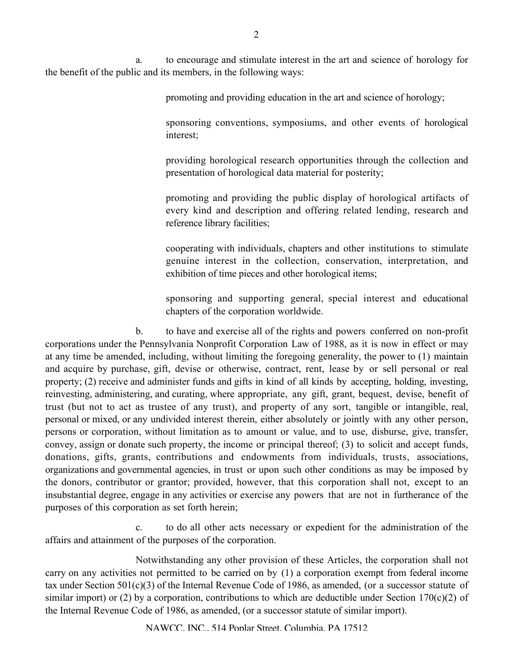a. to encourage and stimulate interest in the art and science of horology for the benefit of the public and its members, in the following ways:

promoting and providing education in the art and science of horology;

sponsoring conventions, symposiums, and other events of horological interest;

providing horological research opportunities through the collection and presentation of horological data material for posterity;

promoting and providing the public display of horological artifacts of every kind and description and offering related lending, research and reference library facilities;

cooperating with individuals, chapters and other institutions to stimulate genuine interest in the collection, conservation, interpretation, and exhibition of time pieces and other horological items;

sponsoring and supporting general, special interest and educational chapters of the corporation worldwide.

b. to have and exercise all of the rights and powers conferred on non-profit corporations under the Pennsylvania Nonprofit Corporation Law of 1988, as it is now in effect or may at any time be amended, including, without limiting the foregoing generality, the power to (1) maintain and acquire by purchase, gift, devise or otherwise, contract, rent, lease by or sell personal or real property; (2) receive and administer funds and gifts in kind of all kinds by accepting, holding, investing, reinvesting, administering, and curating, where appropriate, any gift, grant, bequest, devise, benefit of trust (but not to act as trustee of any trust), and property of any sort, tangible or intangible, real, personal or mixed, or any undivided interest therein, either absolutely or jointly with any other person, persons or corporation, without limitation as to amount or value, and to use, disburse, give, transfer, convey, assign or donate such property, the income or principal thereof; (3) to solicit and accept funds, donations, gifts, grants, contributions and endowments from individuals, trusts, associations, organizations and governmental agencies, in trust or upon such other conditions as may be imposed by the donors, contributor or grantor; provided, however, that this corporation shall not, except to an insubstantial degree, engage in any activities or exercise any powers that are not in furtherance of the purposes of this corporation as set forth herein;

c. to do all other acts necessary or expedient for the administration of the affairs and attainment of the purposes of the corporation.

Notwithstanding any other provision of these Articles, the corporation shall not carry on any activities not permitted to be carried on by (1) a corporation exempt from federal income tax under Section 501(c)(3) of the Internal Revenue Code of 1986, as amended, (or a successor statute of similar import) or (2) by a corporation, contributions to which are deductible under Section 170(c)(2) of the Internal Revenue Code of 1986, as amended, (or a successor statute of similar import).

NAWCC, INC., 514 Poplar Street, Columbia, PA 17512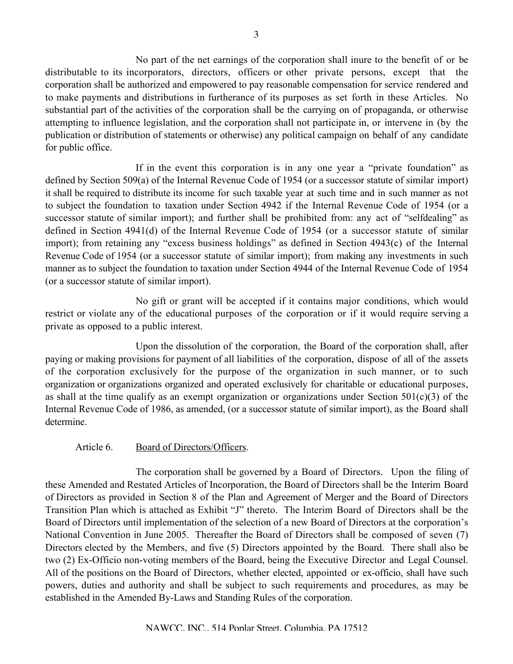No part of the net earnings of the corporation shall inure to the benefit of or be distributable to its incorporators, directors, officers or other private persons, except that the corporation shall be authorized and empowered to pay reasonable compensation for service rendered and to make payments and distributions in furtherance of its purposes as set forth in these Articles. No substantial part of the activities of the corporation shall be the carrying on of propaganda, or otherwise attempting to influence legislation, and the corporation shall not participate in, or intervene in (by the publication or distribution of statements or otherwise) any political campaign on behalf of any candidate for public office.

If in the event this corporation is in any one year a "private foundation" as defined by Section 509(a) of the Internal Revenue Code of 1954 (or a successor statute of similar import) it shall be required to distribute its income for such taxable year at such time and in such manner as not to subject the foundation to taxation under Section 4942 if the Internal Revenue Code of 1954 (or a successor statute of similar import); and further shall be prohibited from: any act of "selfdealing" as defined in Section 4941(d) of the Internal Revenue Code of 1954 (or a successor statute of similar import); from retaining any "excess business holdings" as defined in Section 4943(c) of the Internal Revenue Code of 1954 (or a successor statute of similar import); from making any investments in such manner as to subject the foundation to taxation under Section 4944 of the Internal Revenue Code of 1954 (or a successor statute of similar import).

No gift or grant will be accepted if it contains major conditions, which would restrict or violate any of the educational purposes of the corporation or if it would require serving a private as opposed to a public interest.

Upon the dissolution of the corporation, the Board of the corporation shall, after paying or making provisions for payment of all liabilities of the corporation, dispose of all of the assets of the corporation exclusively for the purpose of the organization in such manner, or to such organization or organizations organized and operated exclusively for charitable or educational purposes, as shall at the time qualify as an exempt organization or organizations under Section  $501(c)(3)$  of the Internal Revenue Code of 1986, as amended, (or a successor statute of similar import), as the Board shall determine.

## Article 6. Board of Directors/Officers.

The corporation shall be governed by a Board of Directors. Upon the filing of these Amended and Restated Articles of Incorporation, the Board of Directors shall be the Interim Board of Directors as provided in Section 8 of the Plan and Agreement of Merger and the Board of Directors Transition Plan which is attached as Exhibit "J" thereto. The Interim Board of Directors shall be the Board of Directors until implementation of the selection of a new Board of Directors at the corporation's National Convention in June 2005. Thereafter the Board of Directors shall be composed of seven (7) Directors elected by the Members, and five (5) Directors appointed by the Board. There shall also be two (2) Ex-Officio non-voting members of the Board, being the Executive Director and Legal Counsel. All of the positions on the Board of Directors, whether elected, appointed or ex-officio, shall have such powers, duties and authority and shall be subject to such requirements and procedures, as may be established in the Amended By-Laws and Standing Rules of the corporation.